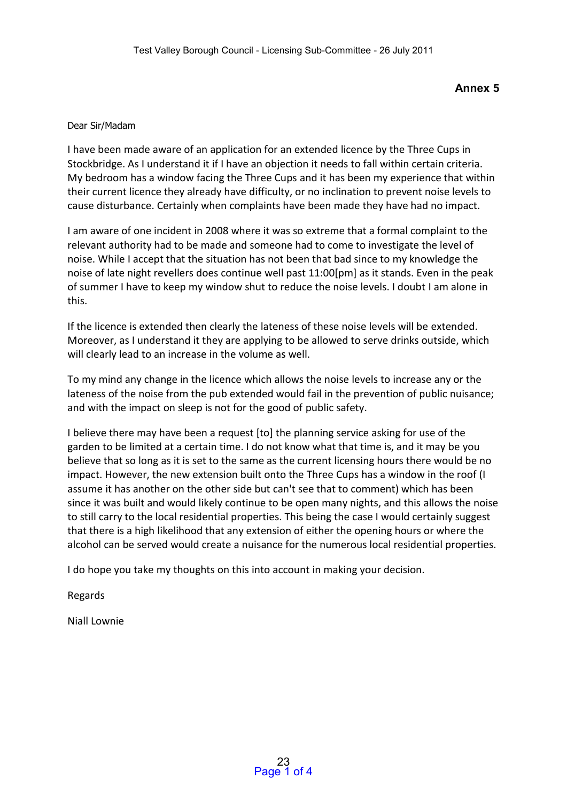**Annex 5** 

## Dear Sir/Madam

I have been made aware of an application for an extended licence by the Three Cups in Stockbridge. As I understand it if I have an objection it needs to fall within certain criteria. My bedroom has a window facing the Three Cups and it has been my experience that within their current licence they already have difficulty, or no inclination to prevent noise levels to cause disturbance. Certainly when complaints have been made they have had no impact.

I am aware of one incident in 2008 where it was so extreme that a formal complaint to the relevant authority had to be made and someone had to come to investigate the level of noise. While I accept that the situation has not been that bad since to my knowledge the noise of late night revellers does continue well past 11:00[pm] as it stands. Even in the peak of summer I have to keep my window shut to reduce the noise levels. I doubt I am alone in this.

If the licence is extended then clearly the lateness of these noise levels will be extended. Moreover, as I understand it they are applying to be allowed to serve drinks outside, which will clearly lead to an increase in the volume as well.

To my mind any change in the licence which allows the noise levels to increase any or the lateness of the noise from the pub extended would fail in the prevention of public nuisance; and with the impact on sleep is not for the good of public safety.

I believe there may have been a request [to] the planning service asking for use of the garden to be limited at a certain time. I do not know what that time is, and it may be you believe that so long as it is set to the same as the current licensing hours there would be no impact. However, the new extension built onto the Three Cups has a window in the roof (I assume it has another on the other side but can't see that to comment) which has been since it was built and would likely continue to be open many nights, and this allows the noise to still carry to the local residential properties. This being the case I would certainly suggest that there is a high likelihood that any extension of either the opening hours or where the alcohol can be served would create a nuisance for the numerous local residential properties.

I do hope you take my thoughts on this into account in making your decision.

Regards

Niall Lownie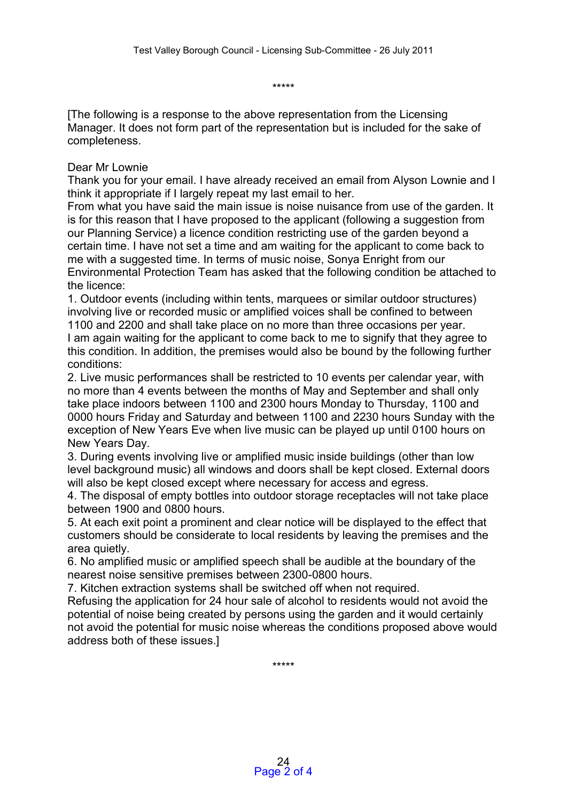\*\*\*\*\*

[The following is a response to the above representation from the Licensing Manager. It does not form part of the representation but is included for the sake of completeness.

## Dear Mr Lownie

Thank you for your email. I have already received an email from Alyson Lownie and I think it appropriate if I largely repeat my last email to her.

From what you have said the main issue is noise nuisance from use of the garden. It is for this reason that I have proposed to the applicant (following a suggestion from our Planning Service) a licence condition restricting use of the garden beyond a certain time. I have not set a time and am waiting for the applicant to come back to me with a suggested time. In terms of music noise, Sonya Enright from our Environmental Protection Team has asked that the following condition be attached to the licence:

1. Outdoor events (including within tents, marquees or similar outdoor structures) involving live or recorded music or amplified voices shall be confined to between 1100 and 2200 and shall take place on no more than three occasions per year. I am again waiting for the applicant to come back to me to signify that they agree to this condition. In addition, the premises would also be bound by the following further conditions:

2. Live music performances shall be restricted to 10 events per calendar year, with no more than 4 events between the months of May and September and shall only take place indoors between 1100 and 2300 hours Monday to Thursday, 1100 and 0000 hours Friday and Saturday and between 1100 and 2230 hours Sunday with the exception of New Years Eve when live music can be played up until 0100 hours on New Years Day.

3. During events involving live or amplified music inside buildings (other than low level background music) all windows and doors shall be kept closed. External doors will also be kept closed except where necessary for access and egress.

4. The disposal of empty bottles into outdoor storage receptacles will not take place between 1900 and 0800 hours.

5. At each exit point a prominent and clear notice will be displayed to the effect that customers should be considerate to local residents by leaving the premises and the area quietly.

6. No amplified music or amplified speech shall be audible at the boundary of the nearest noise sensitive premises between 2300-0800 hours.

7. Kitchen extraction systems shall be switched off when not required.

Refusing the application for 24 hour sale of alcohol to residents would not avoid the potential of noise being created by persons using the garden and it would certainly not avoid the potential for music noise whereas the conditions proposed above would address both of these issues.]

\*\*\*\*\*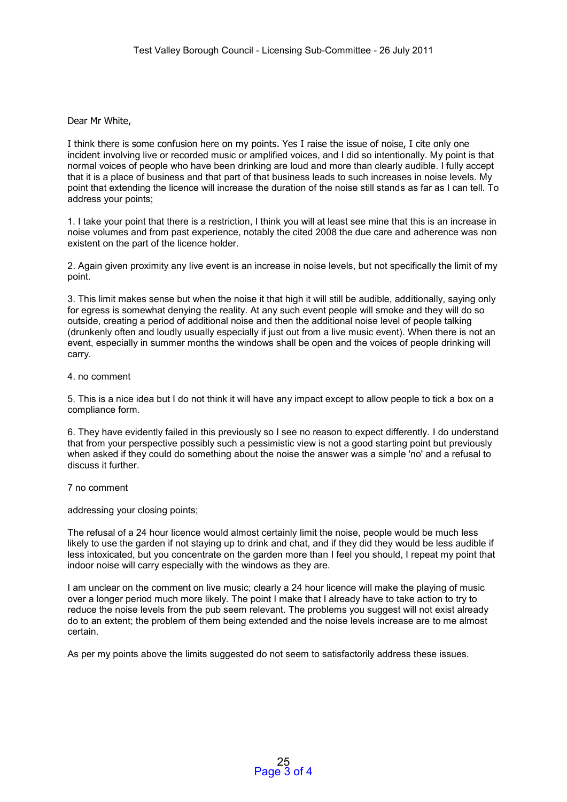Dear Mr White,

I think there is some confusion here on my points. Yes I raise the issue of noise, I cite only one incident involving live or recorded music or amplified voices, and I did so intentionally. My point is that normal voices of people who have been drinking are loud and more than clearly audible. I fully accept that it is a place of business and that part of that business leads to such increases in noise levels. My point that extending the licence will increase the duration of the noise still stands as far as I can tell. To address your points;

1. I take your point that there is a restriction, I think you will at least see mine that this is an increase in noise volumes and from past experience, notably the cited 2008 the due care and adherence was non existent on the part of the licence holder.

2. Again given proximity any live event is an increase in noise levels, but not specifically the limit of my point.

3. This limit makes sense but when the noise it that high it will still be audible, additionally, saying only for egress is somewhat denying the reality. At any such event people will smoke and they will do so outside, creating a period of additional noise and then the additional noise level of people talking (drunkenly often and loudly usually especially if just out from a live music event). When there is not an event, especially in summer months the windows shall be open and the voices of people drinking will carry.

4. no comment

5. This is a nice idea but I do not think it will have any impact except to allow people to tick a box on a compliance form.

6. They have evidently failed in this previously so I see no reason to expect differently. I do understand that from your perspective possibly such a pessimistic view is not a good starting point but previously when asked if they could do something about the noise the answer was a simple 'no' and a refusal to discuss it further.

7 no comment

addressing your closing points;

The refusal of a 24 hour licence would almost certainly limit the noise, people would be much less likely to use the garden if not staying up to drink and chat, and if they did they would be less audible if less intoxicated, but you concentrate on the garden more than I feel you should, I repeat my point that indoor noise will carry especially with the windows as they are.

I am unclear on the comment on live music; clearly a 24 hour licence will make the playing of music over a longer period much more likely. The point I make that I already have to take action to try to reduce the noise levels from the pub seem relevant. The problems you suggest will not exist already do to an extent; the problem of them being extended and the noise levels increase are to me almost certain.

As per my points above the limits suggested do not seem to satisfactorily address these issues.